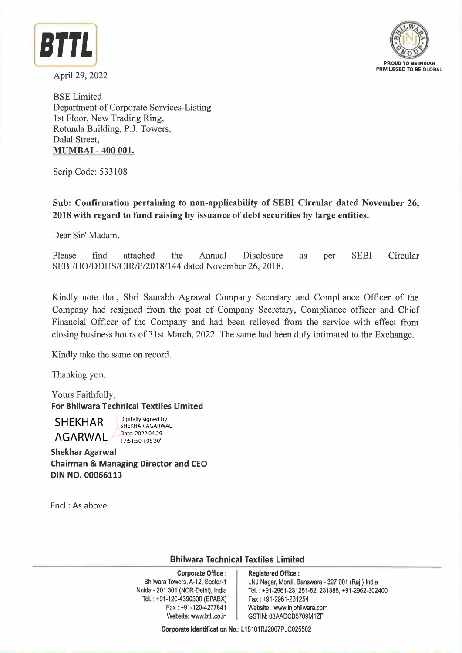

April 29, 2022



BSE Limited Department of Corporate Services-Listing 1st Floor, New Trading Ring, Rotunda Building, P.J. Towers, Dalal Street, **MUMBAI** - **400 001.** 

Scrip Code: 533108

**Sub: Confirmation pertaining to non-applicability of SEBI Circular dated November 26, 2018 with regard to fund raising by issuance of debt securities by large entities.** 

Dear Sir/ Madam,

Please find attached the Annual Disclosure SEBI/HO/DDHS/CIR/P/2018/144 dated November 26, 2018. as per SEBI Circular

Kindly note that, Shri Saurabh Agrawal Company Secretary and Compliance Officer of the Company had resigned from the post of Company Secretary, Compliance officer and Chief Financial Officer of the Company and had been relieved from the service with effect from closing business hours of 31st March, 2022. The same had been duly intimated to the Exchange.

Kindly take the same on record.

Thanking you,

Yours Faithfully, **For Bhilwara Technical Textiles Limited** 

AGARWAL

Digitally signed by SHEKHAR AGARWAL Date: 2022.04.29 17:51:50 +05'30'

**Shekhar Agarwal Chairman** & **Managing Director and CEO DIN NO. 00066113** 

Encl.: As above

**Bhilwara Technical Textiles Limited** 

**Corporate Office** : Bhilwara Towers, A-12, Sector-1 Neida - 201 301 (NCR-Delhi}, India Tel.: +91-120-4390300 (EPABX) Fax: +91-120-4277841 Website: www.bttl.co.in **Corporate IDENTIFICAL State 20220422**<br>
The state 20220422<br>
The state 20220422<br>
The state in the state of the state of the state of the state of the state of the state of the state of the state of the state of the state of

**Registered Office** : LNJ Nagar, Mordi, Banswara - 327 001 (Raj.) India Tel. : +91-2961-231251-52, 231385, +91-2962-302400 Fax: +91-2961-231254 Website: www.lnjbhilwara.com GSTIN: 08AADCB5709M1ZF